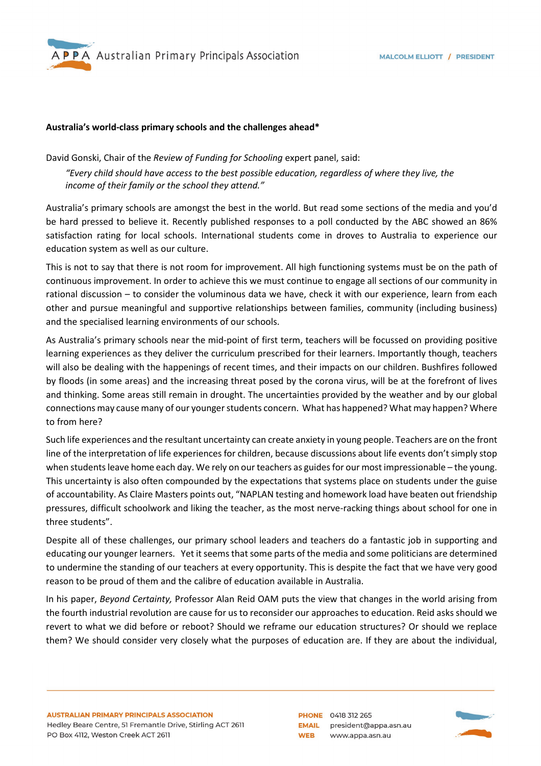

## **Australia's world-class primary schools and the challenges ahead\***

David Gonski, Chair of the *Review of Funding for Schooling* expert panel, said: *"Every child should have access to the best possible education, regardless of where they live, the income of their family or the school they attend."*

Australia's primary schools are amongst the best in the world. But read some sections of the media and you'd be hard pressed to believe it. Recently published responses to a poll conducted by the ABC showed an 86% satisfaction rating for local schools. International students come in droves to Australia to experience our education system as well as our culture.

This is not to say that there is not room for improvement. All high functioning systems must be on the path of continuous improvement. In order to achieve this we must continue to engage all sections of our community in rational discussion – to consider the voluminous data we have, check it with our experience, learn from each other and pursue meaningful and supportive relationships between families, community (including business) and the specialised learning environments of our schools.

As Australia's primary schools near the mid-point of first term, teachers will be focussed on providing positive learning experiences as they deliver the curriculum prescribed for their learners. Importantly though, teachers will also be dealing with the happenings of recent times, and their impacts on our children. Bushfires followed by floods (in some areas) and the increasing threat posed by the corona virus, will be at the forefront of lives and thinking. Some areas still remain in drought. The uncertainties provided by the weather and by our global connections may cause many of our younger students concern. What has happened? What may happen? Where to from here?

Such life experiences and the resultant uncertainty can create anxiety in young people. Teachers are on the front line of the interpretation of life experiences for children, because discussions about life events don't simply stop when students leave home each day. We rely on our teachers as guides for our most impressionable – the young. This uncertainty is also often compounded by the expectations that systems place on students under the guise of accountability. As Claire Masters points out, "NAPLAN testing and homework load have beaten out friendship pressures, difficult schoolwork and liking the teacher, as the most nerve-racking things about school for one in three students".

Despite all of these challenges, our primary school leaders and teachers do a fantastic job in supporting and educating our younger learners. Yet it seems that some parts of the media and some politicians are determined to undermine the standing of our teachers at every opportunity. This is despite the fact that we have very good reason to be proud of them and the calibre of education available in Australia.

In his paper, *Beyond Certainty,* Professor Alan Reid OAM puts the view that changes in the world arising from the fourth industrial revolution are cause for us to reconsider our approaches to education. Reid asks should we revert to what we did before or reboot? Should we reframe our education structures? Or should we replace them? We should consider very closely what the purposes of education are. If they are about the individual,

**PHONE** 0418 312 265 EMAIL president@appa.asn.au **WEB** www.appa.asn.au

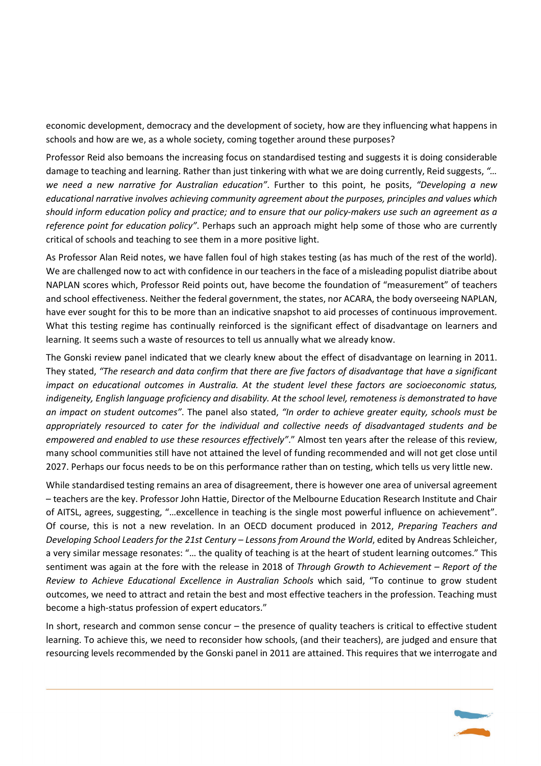economic development, democracy and the development of society, how are they influencing what happens in schools and how are we, as a whole society, coming together around these purposes?

Professor Reid also bemoans the increasing focus on standardised testing and suggests it is doing considerable damage to teaching and learning. Rather than just tinkering with what we are doing currently, Reid suggests, *"… we need a new narrative for Australian education"*. Further to this point, he posits, *"Developing a new educational narrative involves achieving community agreement about the purposes, principles and values which should inform education policy and practice; and to ensure that our policy-makers use such an agreement as a reference point for education policy"*. Perhaps such an approach might help some of those who are currently critical of schools and teaching to see them in a more positive light.

As Professor Alan Reid notes, we have fallen foul of high stakes testing (as has much of the rest of the world). We are challenged now to act with confidence in our teachers in the face of a misleading populist diatribe about NAPLAN scores which, Professor Reid points out, have become the foundation of "measurement" of teachers and school effectiveness. Neither the federal government, the states, nor ACARA, the body overseeing NAPLAN, have ever sought for this to be more than an indicative snapshot to aid processes of continuous improvement. What this testing regime has continually reinforced is the significant effect of disadvantage on learners and learning. It seems such a waste of resources to tell us annually what we already know.

The Gonski review panel indicated that we clearly knew about the effect of disadvantage on learning in 2011. They stated, *"The research and data confirm that there are five factors of disadvantage that have a significant impact on educational outcomes in Australia. At the student level these factors are socioeconomic status, indigeneity, English language proficiency and disability. At the school level, remoteness is demonstrated to have an impact on student outcomes"*. The panel also stated, *"In order to achieve greater equity, schools must be appropriately resourced to cater for the individual and collective needs of disadvantaged students and be empowered and enabled to use these resources effectively"*." Almost ten years after the release of this review, many school communities still have not attained the level of funding recommended and will not get close until 2027. Perhaps our focus needs to be on this performance rather than on testing, which tells us very little new.

While standardised testing remains an area of disagreement, there is however one area of universal agreement – teachers are the key. Professor John Hattie, Director of the Melbourne Education Research Institute and Chair of AITSL, agrees, suggesting, "…excellence in teaching is the single most powerful influence on achievement". Of course, this is not a new revelation. In an OECD document produced in 2012, *Preparing Teachers and Developing School Leaders for the 21st Century – Lessons from Around the World*, edited by Andreas Schleicher, a very similar message resonates: "… the quality of teaching is at the heart of student learning outcomes." This sentiment was again at the fore with the release in 2018 of *Through Growth to Achievement – Report of the Review to Achieve Educational Excellence in Australian Schools* which said, "To continue to grow student outcomes, we need to attract and retain the best and most effective teachers in the profession. Teaching must become a high-status profession of expert educators."

In short, research and common sense concur – the presence of quality teachers is critical to effective student learning. To achieve this, we need to reconsider how schools, (and their teachers), are judged and ensure that resourcing levels recommended by the Gonski panel in 2011 are attained. This requires that we interrogate and

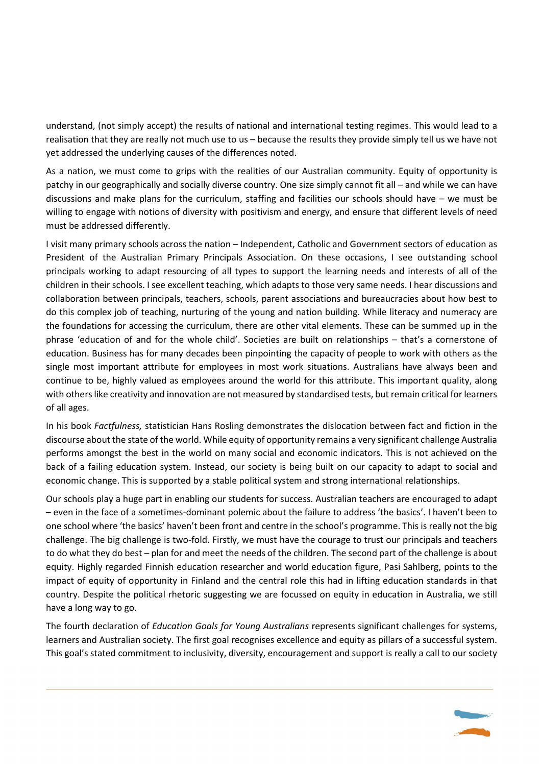understand, (not simply accept) the results of national and international testing regimes. This would lead to a realisation that they are really not much use to us – because the results they provide simply tell us we have not yet addressed the underlying causes of the differences noted.

As a nation, we must come to grips with the realities of our Australian community. Equity of opportunity is patchy in our geographically and socially diverse country. One size simply cannot fit all – and while we can have discussions and make plans for the curriculum, staffing and facilities our schools should have – we must be willing to engage with notions of diversity with positivism and energy, and ensure that different levels of need must be addressed differently.

I visit many primary schools across the nation – Independent, Catholic and Government sectors of education as President of the Australian Primary Principals Association. On these occasions, I see outstanding school principals working to adapt resourcing of all types to support the learning needs and interests of all of the children in their schools. I see excellent teaching, which adapts to those very same needs. I hear discussions and collaboration between principals, teachers, schools, parent associations and bureaucracies about how best to do this complex job of teaching, nurturing of the young and nation building. While literacy and numeracy are the foundations for accessing the curriculum, there are other vital elements. These can be summed up in the phrase 'education of and for the whole child'. Societies are built on relationships – that's a cornerstone of education. Business has for many decades been pinpointing the capacity of people to work with others as the single most important attribute for employees in most work situations. Australians have always been and continue to be, highly valued as employees around the world for this attribute. This important quality, along with others like creativity and innovation are not measured by standardised tests, but remain critical for learners of all ages.

In his book *Factfulness,* statistician Hans Rosling demonstrates the dislocation between fact and fiction in the discourse about the state of the world. While equity of opportunity remains a very significant challenge Australia performs amongst the best in the world on many social and economic indicators. This is not achieved on the back of a failing education system. Instead, our society is being built on our capacity to adapt to social and economic change. This is supported by a stable political system and strong international relationships.

Our schools play a huge part in enabling our students for success. Australian teachers are encouraged to adapt – even in the face of a sometimes-dominant polemic about the failure to address 'the basics'. I haven't been to one school where 'the basics' haven't been front and centre in the school's programme. This is really not the big challenge. The big challenge is two-fold. Firstly, we must have the courage to trust our principals and teachers to do what they do best – plan for and meet the needs of the children. The second part of the challenge is about equity. Highly regarded Finnish education researcher and world education figure, Pasi Sahlberg, points to the impact of equity of opportunity in Finland and the central role this had in lifting education standards in that country. Despite the political rhetoric suggesting we are focussed on equity in education in Australia, we still have a long way to go.

The fourth declaration of *Education Goals for Young Australians* represents significant challenges for systems, learners and Australian society. The first goal recognises excellence and equity as pillars of a successful system. This goal's stated commitment to inclusivity, diversity, encouragement and support is really a call to our society